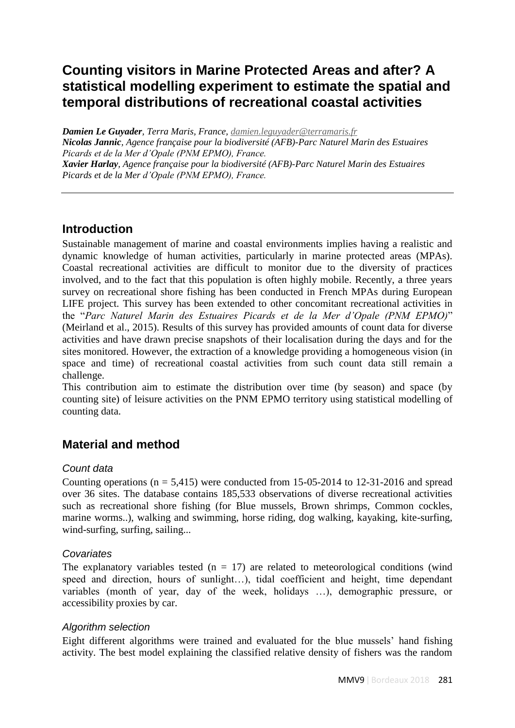# **Counting visitors in Marine Protected Areas and after? A statistical modelling experiment to estimate the spatial and temporal distributions of recreational coastal activities**

*Damien Le Guyader, Terra Maris, France, [damien.leguyader@terramaris.fr](mailto:damien.leguyader@terramaris.fr) Nicolas Jannic, Agence française pour la biodiversité (AFB)-Parc Naturel Marin des Estuaires Picards et de la Mer d'Opale (PNM EPMO), France. Xavier Harlay, Agence française pour la biodiversité (AFB)-Parc Naturel Marin des Estuaires Picards et de la Mer d'Opale (PNM EPMO), France.*

### **Introduction**

Sustainable management of marine and coastal environments implies having a realistic and dynamic knowledge of human activities, particularly in marine protected areas (MPAs). Coastal recreational activities are difficult to monitor due to the diversity of practices involved, and to the fact that this population is often highly mobile. Recently, a three years survey on recreational shore fishing has been conducted in French MPAs during European LIFE project. This survey has been extended to other concomitant recreational activities in the "*Parc Naturel Marin des Estuaires Picards et de la Mer d'Opale (PNM EPMO)*" (Meirland et al., 2015). Results of this survey has provided amounts of count data for diverse activities and have drawn precise snapshots of their localisation during the days and for the sites monitored. However, the extraction of a knowledge providing a homogeneous vision (in space and time) of recreational coastal activities from such count data still remain a challenge.

This contribution aim to estimate the distribution over time (by season) and space (by counting site) of leisure activities on the PNM EPMO territory using statistical modelling of counting data.

# **Material and method**

#### *Count data*

Counting operations ( $n = 5,415$ ) were conducted from 15-05-2014 to 12-31-2016 and spread over 36 sites. The database contains 185,533 observations of diverse recreational activities such as recreational shore fishing (for Blue mussels, Brown shrimps, Common cockles, marine worms..), walking and swimming, horse riding, dog walking, kayaking, kite-surfing, wind-surfing, surfing, sailing...

#### *Covariates*

The explanatory variables tested  $(n = 17)$  are related to meteorological conditions (wind speed and direction, hours of sunlight…), tidal coefficient and height, time dependant variables (month of year, day of the week, holidays …), demographic pressure, or accessibility proxies by car.

#### *Algorithm selection*

Eight different algorithms were trained and evaluated for the blue mussels' hand fishing activity. The best model explaining the classified relative density of fishers was the random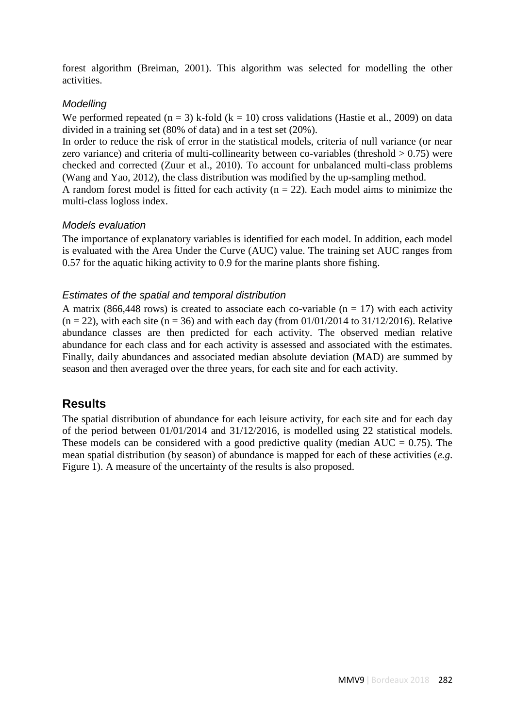forest algorithm (Breiman, 2001). This algorithm was selected for modelling the other activities.

#### *Modelling*

We performed repeated  $(n = 3)$  k-fold  $(k = 10)$  cross validations (Hastie et al., 2009) on data divided in a training set (80% of data) and in a test set (20%).

In order to reduce the risk of error in the statistical models, criteria of null variance (or near zero variance) and criteria of multi-collinearity between co-variables (threshold  $> 0.75$ ) were checked and corrected (Zuur et al., 2010). To account for unbalanced multi-class problems (Wang and Yao, 2012), the class distribution was modified by the up-sampling method.

A random forest model is fitted for each activity ( $n = 22$ ). Each model aims to minimize the multi-class logloss index.

#### *Models evaluation*

The importance of explanatory variables is identified for each model. In addition, each model is evaluated with the Area Under the Curve (AUC) value. The training set AUC ranges from 0.57 for the aquatic hiking activity to 0.9 for the marine plants shore fishing.

#### *Estimates of the spatial and temporal distribution*

A matrix (866,448 rows) is created to associate each co-variable ( $n = 17$ ) with each activity  $(n = 22)$ , with each site  $(n = 36)$  and with each day (from 01/01/2014 to 31/12/2016). Relative abundance classes are then predicted for each activity. The observed median relative abundance for each class and for each activity is assessed and associated with the estimates. Finally, daily abundances and associated median absolute deviation (MAD) are summed by season and then averaged over the three years, for each site and for each activity.

# **Results**

The spatial distribution of abundance for each leisure activity, for each site and for each day of the period between 01/01/2014 and 31/12/2016, is modelled using 22 statistical models. These models can be considered with a good predictive quality (median  $AUC = 0.75$ ). The mean spatial distribution (by season) of abundance is mapped for each of these activities (*e.g*. Figure 1). A measure of the uncertainty of the results is also proposed.